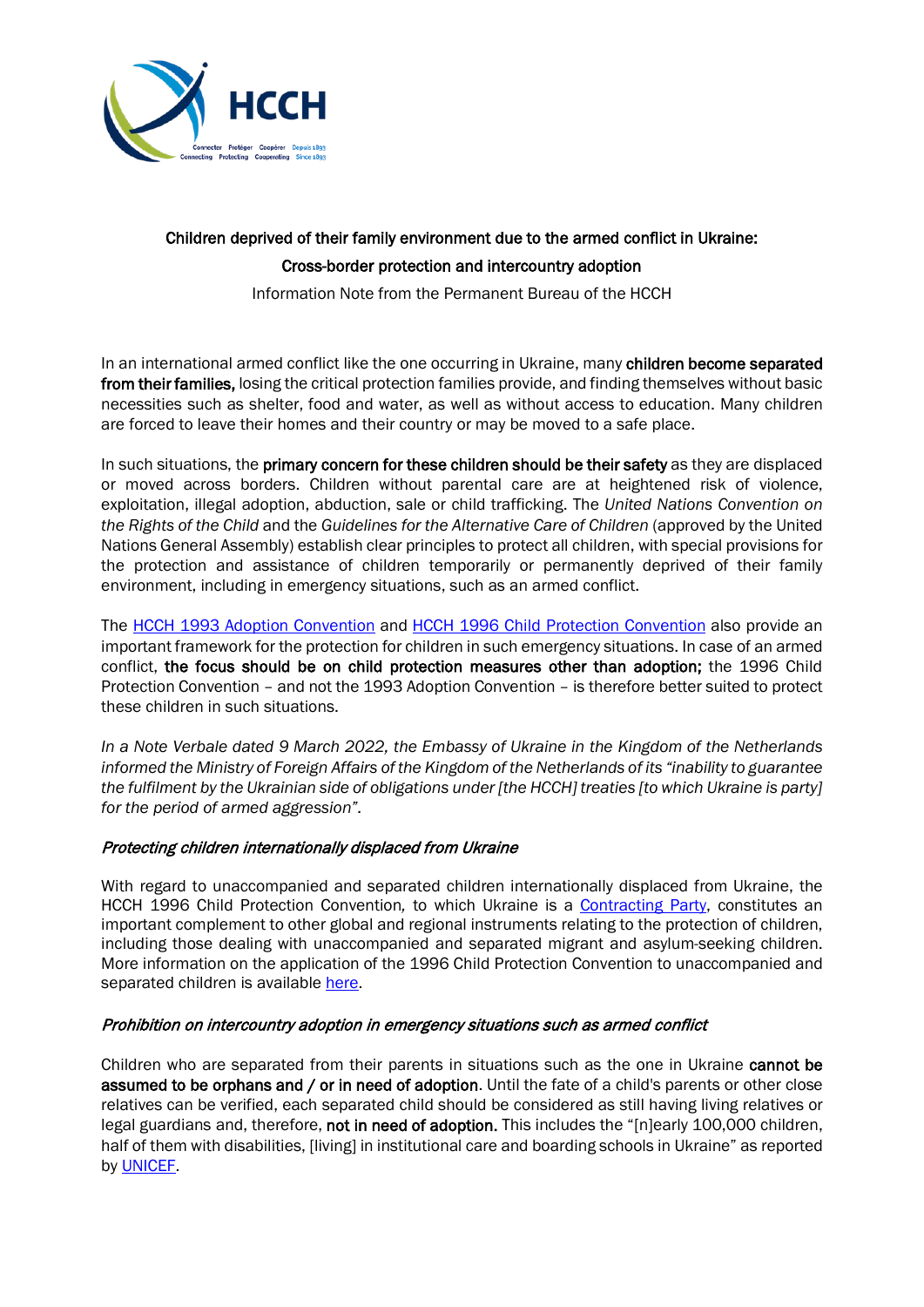

## Children deprived of their family environment due to the armed conflict in Ukraine: Cross-border protection and intercountry adoption

Information Note from the Permanent Bureau of the HCCH

In an international armed conflict like the one occurring in Ukraine, many children become separated from their families, losing the critical protection families provide, and finding themselves without basic necessities such as shelter, food and water, as well as without access to education. Many children are forced to leave their homes and their country or may be moved to a safe place.

In such situations, the primary concern for these children should be their safety as they are displaced or moved across borders. Children without parental care are at heightened risk of violence, exploitation, illegal adoption, abduction, sale or child trafficking. The *United Nations Convention on the Rights of the Child* and the *Guidelines for the Alternative Care of Children* (approved by the United Nations General Assembly) establish clear principles to protect all children, with special provisions for the protection and assistance of children temporarily or permanently deprived of their family environment, including in emergency situations, such as an armed conflict.

The [HCCH 1993 Adoption Convention](https://www.hcch.net/en/instruments/conventions/full-text/?cid=69) and [HCCH 1996 Child Protection Convention](https://assets.hcch.net/docs/f16ebd3d-f398-4891-bf47-110866e171d4.pdf) also provide an important framework for the protection for children in such emergency situations. In case of an armed conflict, the focus should be on child protection measures other than adoption; the 1996 Child Protection Convention – and not the 1993 Adoption Convention – is therefore better suited to protect these children in such situations.

*In a Note Verbale dated 9 March 2022, the Embassy of Ukraine in the Kingdom of the Netherlands informed the Ministry of Foreign Affairs of the Kingdom of the Netherlands of its "inability to guarantee the fulfilment by the Ukrainian side of obligations under [the HCCH] treaties [to which Ukraine is party] for the period of armed aggression".*

## Protecting children internationally displaced from Ukraine

With regard to unaccompanied and separated children internationally displaced from Ukraine, the HCCH 1996 Child Protection Convention*,* to which Ukraine is a [Contracting Party,](https://www.hcch.net/en/instruments/conventions/status-table/?cid=70) constitutes an important complement to other global and regional instruments relating to the protection of children, including those dealing with unaccompanied and separated migrant and asylum-seeking children. More information on the application of the 1996 Child Protection Convention to unaccompanied and separated children is available [here.](https://assets.hcch.net/docs/64150323-9f1a-4f32-83a8-81558ea75e60.pdf)

## Prohibition on intercountry adoption in emergency situations such as armed conflict

Children who are separated from their parents in situations such as the one in Ukraine cannot be assumed to be orphans and / or in need of adoption. Until the fate of a child's parents or other close relatives can be verified, each separated child should be considered as still having living relatives or legal guardians and, therefore, not in need of adoption. This includes the "[n]early 100,000 children, half of them with disabilities, [living] in institutional care and boarding schools in Ukraine" as reported by [UNICEF.](https://www.unicef.org/press-releases/unaccompanied-and-separated-children-fleeing-escalating-conflict-ukraine-must-be)